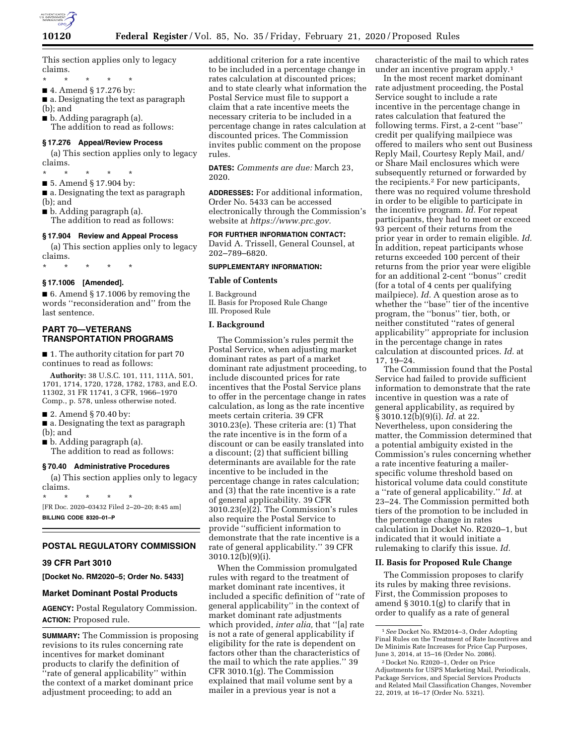

This section applies only to legacy claims.

\* \* \* \* \*

■ 4. Amend § 17.276 by:

■ a. Designating the text as paragraph (b); and

■ b. Adding paragraph (a).

The addition to read as follows:

# **§ 17.276 Appeal/Review Process**

(a) This section applies only to legacy claims.

\* \* \* \* \*

■ 5. Amend § 17.904 by: ■ a. Designating the text as paragraph

(b); and

■ b. Adding paragraph (a). The addition to read as follows:

#### **§ 17.904 Review and Appeal Process**

(a) This section applies only to legacy claims.

\* \* \* \* \*

## **§ 17.1006 [Amended].**

■ 6. Amend § 17.1006 by removing the words ''reconsideration and'' from the last sentence.

## **PART 70—VETERANS TRANSPORTATION PROGRAMS**

■ 1. The authority citation for part 70 continues to read as follows:

**Authority:** 38 U.S.C. 101, 111, 111A, 501, 1701, 1714, 1720, 1728, 1782, 1783, and E.O. 11302, 31 FR 11741, 3 CFR, 1966–1970 Comp., p. 578, unless otherwise noted.

■ 2. Amend § 70.40 by:

■ a. Designating the text as paragraph (b); and

■ b. Adding paragraph (a). The addition to read as follows:

### **§ 70.40 Administrative Procedures**

(a) This section applies only to legacy claims.

\* \* \* \* \* [FR Doc. 2020–03432 Filed 2–20–20; 8:45 am] **BILLING CODE 8320–01–P** 

### **POSTAL REGULATORY COMMISSION**

#### **39 CFR Part 3010**

**[Docket No. RM2020–5; Order No. 5433]** 

#### **Market Dominant Postal Products**

**AGENCY:** Postal Regulatory Commission. **ACTION:** Proposed rule.

**SUMMARY:** The Commission is proposing revisions to its rules concerning rate incentives for market dominant products to clarify the definition of ''rate of general applicability'' within the context of a market dominant price adjustment proceeding; to add an

additional criterion for a rate incentive to be included in a percentage change in rates calculation at discounted prices; and to state clearly what information the Postal Service must file to support a claim that a rate incentive meets the necessary criteria to be included in a percentage change in rates calculation at discounted prices. The Commission invites public comment on the propose rules.

**DATES:** *Comments are due:* March 23, 2020.

**ADDRESSES:** For additional information, Order No. 5433 can be accessed electronically through the Commission's website at *[https://www.prc.gov.](https://www.prc.gov)* 

**FOR FURTHER INFORMATION CONTACT:**  David A. Trissell, General Counsel, at 202–789–6820.

#### **SUPPLEMENTARY INFORMATION:**

#### **Table of Contents**

I. Background

II. Basis for Proposed Rule Change III. Proposed Rule

## **I. Background**

The Commission's rules permit the Postal Service, when adjusting market dominant rates as part of a market dominant rate adjustment proceeding, to include discounted prices for rate incentives that the Postal Service plans to offer in the percentage change in rates calculation, as long as the rate incentive meets certain criteria. 39 CFR 3010.23(e). These criteria are: (1) That the rate incentive is in the form of a discount or can be easily translated into a discount; (2) that sufficient billing determinants are available for the rate incentive to be included in the percentage change in rates calculation; and (3) that the rate incentive is a rate of general applicability. 39 CFR 3010.23(e)(2). The Commission's rules also require the Postal Service to provide ''sufficient information to demonstrate that the rate incentive is a rate of general applicability.'' 39 CFR 3010.12(b)(9)(i).

When the Commission promulgated rules with regard to the treatment of market dominant rate incentives, it included a specific definition of ''rate of general applicability'' in the context of market dominant rate adjustments which provided, *inter alia,* that ''[a] rate is not a rate of general applicability if eligibility for the rate is dependent on factors other than the characteristics of the mail to which the rate applies.'' 39 CFR 3010.1(g). The Commission explained that mail volume sent by a mailer in a previous year is not a

characteristic of the mail to which rates under an incentive program apply.1

In the most recent market dominant rate adjustment proceeding, the Postal Service sought to include a rate incentive in the percentage change in rates calculation that featured the following terms. First, a 2-cent ''base'' credit per qualifying mailpiece was offered to mailers who sent out Business Reply Mail, Courtesy Reply Mail, and/ or Share Mail enclosures which were subsequently returned or forwarded by the recipients.2 For new participants, there was no required volume threshold in order to be eligible to participate in the incentive program. *Id.* For repeat participants, they had to meet or exceed 93 percent of their returns from the prior year in order to remain eligible. *Id.*  In addition, repeat participants whose returns exceeded 100 percent of their returns from the prior year were eligible for an additional 2-cent ''bonus'' credit (for a total of 4 cents per qualifying mailpiece). *Id.* A question arose as to whether the ''base'' tier of the incentive program, the ''bonus'' tier, both, or neither constituted ''rates of general applicability'' appropriate for inclusion in the percentage change in rates calculation at discounted prices. *Id.* at 17, 19–24.

The Commission found that the Postal Service had failed to provide sufficient information to demonstrate that the rate incentive in question was a rate of general applicability, as required by § 3010.12(b)(9)(i). *Id.* at 22. Nevertheless, upon considering the matter, the Commission determined that a potential ambiguity existed in the Commission's rules concerning whether a rate incentive featuring a mailerspecific volume threshold based on historical volume data could constitute a ''rate of general applicability.'' *Id.* at 23–24. The Commission permitted both tiers of the promotion to be included in the percentage change in rates calculation in Docket No. R2020–1, but indicated that it would initiate a rulemaking to clarify this issue. *Id.* 

## **II. Basis for Proposed Rule Change**

The Commission proposes to clarify its rules by making three revisions. First, the Commission proposes to amend § 3010.1(g) to clarify that in order to qualify as a rate of general

<sup>1</sup>*See* Docket No. RM2014–3, Order Adopting Final Rules on the Treatment of Rate Incentives and De Minimis Rate Increases for Price Cap Purposes, June 3, 2014, at 15–16 (Order No. 2086).

<sup>2</sup> Docket No. R2020–1, Order on Price Adjustments for USPS Marketing Mail, Periodicals, Package Services, and Special Services Products and Related Mail Classification Changes, November 22, 2019, at 16–17 (Order No. 5321).